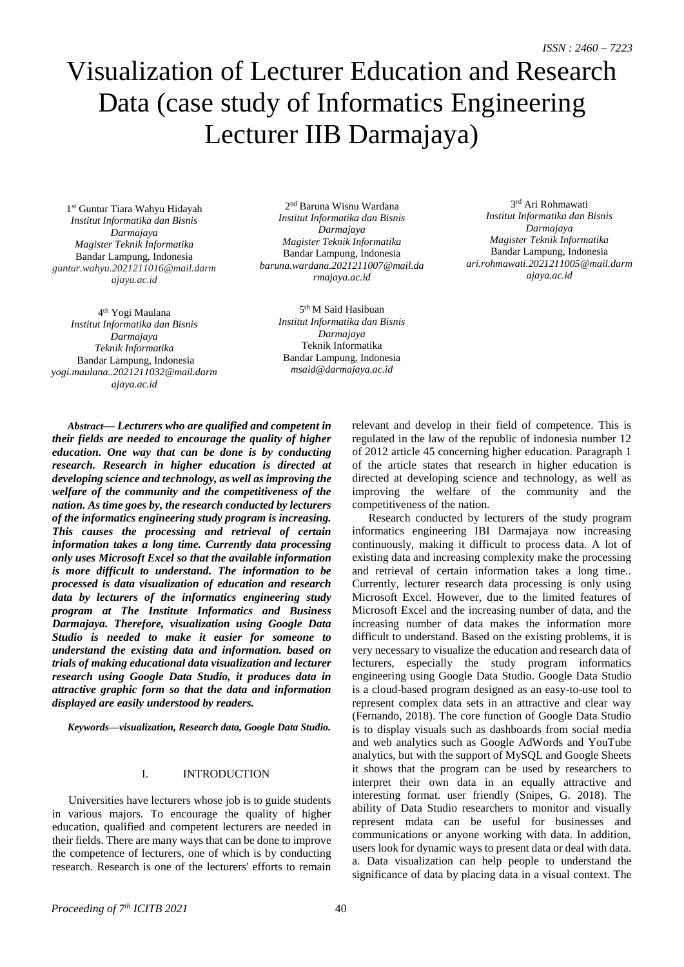# Visualization of Lecturer Education and Research Data (case study of Informatics Engineering Lecturer IIB Darmajaya)

1 st Guntur Tiara Wahyu Hidayah *Institut Informatika dan Bisnis Darmajaya Magister Teknik Informatika* Bandar Lampung, Indonesia *[guntur.wahyu.2021211016@mail.darm](mailto:guntur.wahyu.2021211016@mail.darmajaya.ac.id) [ajaya.ac.id](mailto:guntur.wahyu.2021211016@mail.darmajaya.ac.id)*

4<sup>th</sup> Yogi Maulana *Institut Informatika dan Bisnis Darmajaya Teknik Informatika* Bandar Lampung, Indonesia *yogi.maulana..2021211032@mail.darm ajaya.ac.id*

2 nd Baruna Wisnu Wardana *Institut Informatika dan Bisnis Darmajaya Magister Teknik Informatika* Bandar Lampung, Indonesia *baruna.wardana.2021211007@mail.da rmajaya.ac.id*

> *Darmajaya* Teknik Informatika Bandar Lampung, Indonesia *msaid@darmajaya.ac.id* 5 th M Said Hasibuan *Institut Informatika dan Bisnis*

*Abstract— Lecturers who are qualified and competent in their fields are needed to encourage the quality of higher education. One way that can be done is by conducting research. Research in higher education is directed at developing science and technology, as well as improving the welfare of the community and the competitiveness of the nation. As time goes by, the research conducted by lecturers of the informatics engineering study program is increasing. This causes the processing and retrieval of certain information takes a long time. Currently data processing only uses Microsoft Excel so that the available information is more difficult to understand. The information to be processed is data visualization of education and research data by lecturers of the informatics engineering study program at The Institute Informatics and Business Darmajaya. Therefore, visualization using Google Data Studio is needed to make it easier for someone to understand the existing data and information. based on trials of making educational data visualization and lecturer research using Google Data Studio, it produces data in attractive graphic form so that the data and information displayed are easily understood by readers.*

*Keywords—visualization, Research data, Google Data Studio.*

## I. INTRODUCTION

Universities have lecturers whose job is to guide students in various majors. To encourage the quality of higher education, qualified and competent lecturers are needed in their fields. There are many ways that can be done to improve the competence of lecturers, one of which is by conducting research. Research is one of the lecturers' efforts to remain

relevant and develop in their field of competence. This is regulated in the law of the republic of indonesia number 12 of 2012 article 45 concerning higher education. Paragraph 1 of the article states that research in higher education is directed at developing science and technology, as well as improving the welfare of the community and the competitiveness of the nation.

Research conducted by lecturers of the study program informatics engineering IBI Darmajaya now increasing continuously, making it difficult to process data. A lot of existing data and increasing complexity make the processing and retrieval of certain information takes a long time.. Currently, lecturer research data processing is only using Microsoft Excel. However, due to the limited features of Microsoft Excel and the increasing number of data, and the increasing number of data makes the information more difficult to understand. Based on the existing problems, it is very necessary to visualize the education and research data of lecturers, especially the study program informatics engineering using Google Data Studio. Google Data Studio is a cloud-based program designed as an easy-to-use tool to represent complex data sets in an attractive and clear way (Fernando, 2018). The core function of Google Data Studio is to display visuals such as dashboards from social media and web analytics such as Google AdWords and YouTube analytics, but with the support of MySQL and Google Sheets it shows that the program can be used by researchers to interpret their own data in an equally attractive and interesting format. user friendly (Snipes, G. 2018). The ability of Data Studio researchers to monitor and visually represent mdata can be useful for businesses and communications or anyone working with data. In addition, users look for dynamic ways to present data or deal with data. a. Data visualization can help people to understand the significance of data by placing data in a visual context. The

3 rd Ari Rohmawati *Institut Informatika dan Bisnis Darmajaya Magister Teknik Informatika* Bandar Lampung, Indonesia *ari.rohmawati.2021211005@mail.darm ajaya.ac.id*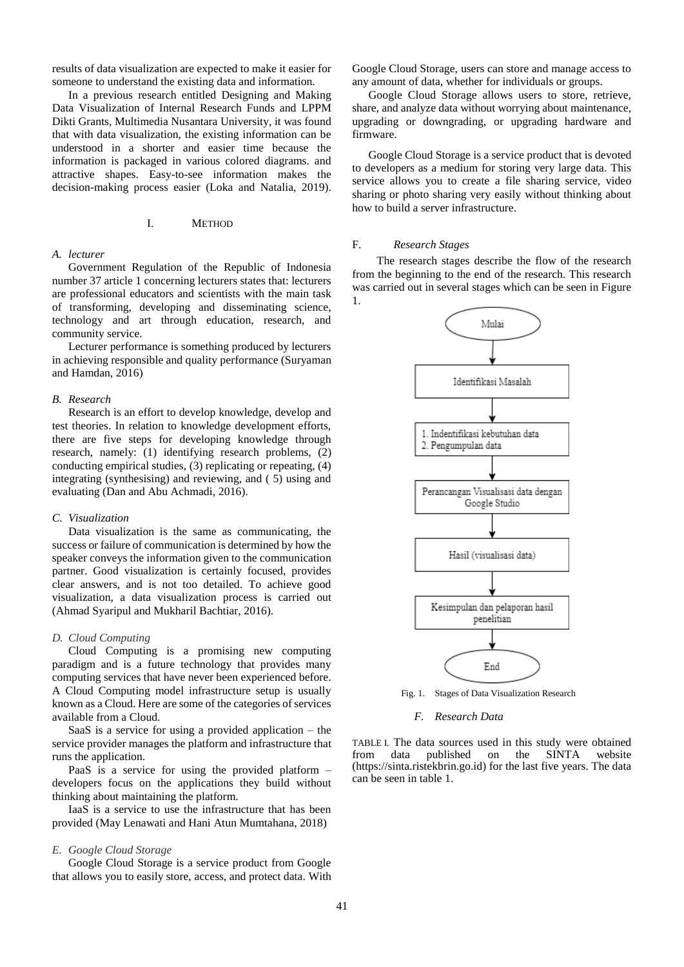results of data visualization are expected to make it easier for someone to understand the existing data and information.

In a previous research entitled Designing and Making Data Visualization of Internal Research Funds and LPPM Dikti Grants, Multimedia Nusantara University, it was found that with data visualization, the existing information can be understood in a shorter and easier time because the information is packaged in various colored diagrams. and attractive shapes. Easy-to-see information makes the decision-making process easier (Loka and Natalia, 2019).

## I. METHOD

#### *A. lecturer*

Government Regulation of the Republic of Indonesia number 37 article 1 concerning lecturers states that: lecturers are professional educators and scientists with the main task of transforming, developing and disseminating science, technology and art through education, research, and community service.

Lecturer performance is something produced by lecturers in achieving responsible and quality performance (Suryaman and Hamdan, 2016)

#### *B. Research*

Research is an effort to develop knowledge, develop and test theories. In relation to knowledge development efforts, there are five steps for developing knowledge through research, namely: (1) identifying research problems, (2) conducting empirical studies, (3) replicating or repeating, (4) integrating (synthesising) and reviewing, and ( 5) using and evaluating (Dan and Abu Achmadi, 2016).

#### *C. Visualization*

Data visualization is the same as communicating, the success or failure of communication is determined by how the speaker conveys the information given to the communication partner. Good visualization is certainly focused, provides clear answers, and is not too detailed. To achieve good visualization, a data visualization process is carried out (Ahmad Syaripul and Mukharil Bachtiar, 2016).

#### *D. Cloud Computing*

Cloud Computing is a promising new computing paradigm and is a future technology that provides many computing services that have never been experienced before. A Cloud Computing model infrastructure setup is usually known as a Cloud. Here are some of the categories of services available from a Cloud.

SaaS is a service for using a provided application – the service provider manages the platform and infrastructure that runs the application.

PaaS is a service for using the provided platform – developers focus on the applications they build without thinking about maintaining the platform.

IaaS is a service to use the infrastructure that has been provided (May Lenawati and Hani Atun Mumtahana, 2018)

## *E. Google Cloud Storage*

Google Cloud Storage is a service product from Google that allows you to easily store, access, and protect data. With

Google Cloud Storage, users can store and manage access to any amount of data, whether for individuals or groups.

Google Cloud Storage allows users to store, retrieve, share, and analyze data without worrying about maintenance, upgrading or downgrading, or upgrading hardware and firmware.

Google Cloud Storage is a service product that is devoted to developers as a medium for storing very large data. This service allows you to create a file sharing service, video sharing or photo sharing very easily without thinking about how to build a server infrastructure.

## F. *Research Stages*

The research stages describe the flow of the research from the beginning to the end of the research. This research was carried out in several stages which can be seen in Figure 1.



Fig. 1. Stages of Data Visualization Research

*F. Research Data*

TABLE I. The data sources used in this study were obtained<br>from data published on the SINTA website from data published on the SINTA website (https://sinta.ristekbrin.go.id) for the last five years. The data can be seen in table 1.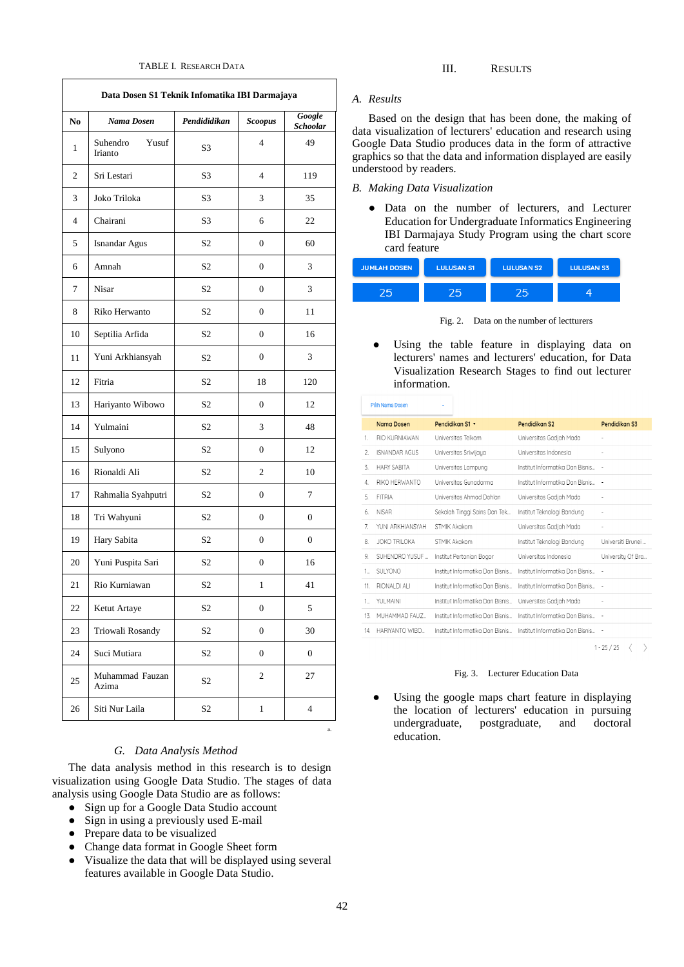| Data Dosen S1 Teknik Infomatika IBI Darmajaya |                              |                |                  |                           |  |
|-----------------------------------------------|------------------------------|----------------|------------------|---------------------------|--|
| N <sub>0</sub>                                | Nama Dosen                   | Pendididikan   | <b>Scoopus</b>   | Google<br><b>Schoolar</b> |  |
| 1                                             | Suhendro<br>Yusuf<br>Irianto | S3             | $\overline{4}$   | 49                        |  |
| 2                                             | Sri Lestari                  | S <sub>3</sub> | $\overline{4}$   | 119                       |  |
| 3                                             | Joko Triloka                 | S3             | 3                | 35                        |  |
| $\overline{4}$                                | Chairani                     | S <sub>3</sub> | 6                | 22                        |  |
| 5                                             | Isnandar Agus                | S <sub>2</sub> | $\mathbf{0}$     | 60                        |  |
| 6                                             | Amnah                        | S <sub>2</sub> | $\mathbf{0}$     | 3                         |  |
| 7                                             | Nisar                        | S <sub>2</sub> | $\mathbf{0}$     | 3                         |  |
| 8                                             | Riko Herwanto                | S <sub>2</sub> | $\mathbf{0}$     | 11                        |  |
| 10                                            | Septilia Arfida              | S <sub>2</sub> | $\mathbf{0}$     | 16                        |  |
| 11                                            | Yuni Arkhiansyah             | S2             | 0                | 3                         |  |
| 12                                            | Fitria                       | S <sub>2</sub> | 18               | 120                       |  |
| 13                                            | Hariyanto Wibowo             | S <sub>2</sub> | $\mathbf{0}$     | 12                        |  |
| 14                                            | Yulmaini                     | S <sub>2</sub> | 3                | 48                        |  |
| 15                                            | Sulyono                      | S <sub>2</sub> | 0                | 12                        |  |
| 16                                            | Rionaldi Ali                 | S <sub>2</sub> | $\overline{c}$   | 10                        |  |
| 17                                            | Rahmalia Syahputri           | S2             | $\mathbf{0}$     | 7                         |  |
| 18                                            | Tri Wahyuni                  | S <sub>2</sub> | $\mathbf{0}$     | $\mathbf{0}$              |  |
| 19                                            | Hary Sabita                  | S <sub>2</sub> | $\mathbf{0}$     | $\Omega$                  |  |
| 20                                            | Yuni Puspita Sari            | S <sub>2</sub> | $\mathbf{0}$     | 16                        |  |
| 21                                            | Rio Kurniawan                | S <sub>2</sub> | 1                | 41                        |  |
| 22                                            | Ketut Artaye                 | S2             | 0                | 5                         |  |
| 23                                            | Triowali Rosandy             | S <sub>2</sub> | $\boldsymbol{0}$ | 30                        |  |
| 24                                            | Suci Mutiara                 | S <sub>2</sub> | 0                | $\boldsymbol{0}$          |  |
| 25                                            | Muhammad Fauzan<br>Azima     | S <sub>2</sub> | $\boldsymbol{2}$ | 27                        |  |
| 26                                            | Siti Nur Laila               | S <sub>2</sub> | $\mathbf{1}$     | $\overline{4}$            |  |

### *G. Data Analysis Method*

The data analysis method in this research is to design visualization using Google Data Studio. The stages of data analysis using Google Data Studio are as follows:

- Sign up for a Google Data Studio account
- Sign in using a previously used E-mail
- Prepare data to be visualized
- Change data format in Google Sheet form
- Visualize the data that will be displayed using several features available in Google Data Studio.

#### *A. Results*

Based on the design that has been done, the making of data visualization of lecturers' education and research using Google Data Studio produces data in the form of attractive graphics so that the data and information displayed are easily understood by readers.

## *B. Making Data Visualization*

● Data on the number of lecturers, and Lecturer Education for Undergraduate Informatics Engineering IBI Darmajaya Study Program using the chart score card feature

| <b>JUMLAH DOSEN</b> | <b>LULUSAN S1</b> | <b>LULUSAN S2</b> | <b>LULUSAN S3</b> |
|---------------------|-------------------|-------------------|-------------------|
|                     |                   |                   |                   |

Fig. 2. Data on the number of lectturers

Using the table feature in displaying data on lecturers' names and lecturers' education, for Data Visualization Research Stages to find out lecturer information.

|       | <b>Pilih Nama Dosen</b> | ٠                               |                                   |                          |
|-------|-------------------------|---------------------------------|-----------------------------------|--------------------------|
|       | Nama Dosen              | Pendidikan S1 v                 | Pendidikan S2                     | Pendidikan S3            |
| 1.    | RIO KURNIAWAN           | Universitas Telkom              | Universitas Gadjah Mada           | $\overline{a}$           |
| 2.    | ISNANDAR AGUS           | Universitas Sriwijaya           | Universitas Indonesia             | $\overline{\phantom{m}}$ |
| 3.    | <b>HARY SABITA</b>      | Universitas Lampung             | Institut Informatika Dan Bisnis   |                          |
| 4.    | RIKO HFRWANTO           | Universitas Gunadarma           | Institut Informatika Dan Bisnis   |                          |
| 5.    | FITRIA                  | Universitas Ahmad Dahlan        | Universitas Gadjah Mada           | $\overline{\phantom{m}}$ |
| 6.    | <b>NISAR</b>            | Sekolah Tinggi Sains Dan Tek    | Institut Teknologi Bandung        | ×,                       |
| 7.    | YUNI ARKHIANSYAH        | STMIK Akakom                    | Universitas Gadjah Mada           | ٠                        |
| 8.    | JOKO TRILOKA            | STMIK Akakom                    | Institut Teknologi Bandung        | Universiti Brunei        |
| 9.    | SUHENDRO YUSUF          | Institut Pertanian Bogor        | Universitas Indonesia             | University Of Bra        |
| 1     | <b>SULYONO</b>          | Institut Informatika Dan Bisnis | Institut Informatika Dan Bisnis   |                          |
| 11.   | RIONALDI ALI            | Institut Informatika Dan Bisnis | Institut Informatika Dan Bisnis   | $\overline{\phantom{a}}$ |
| $1 -$ | YUI MAINI               | Institut Informatika Dan Bisnis | Universitas Gadjah Mada           |                          |
| 13.   | MUHAMMAD FAUZ           | Institut Informatika Dan Bisnis | Institut Informatika Dan Bisnis   |                          |
| 14.   | HARIYANTO WIBO          | Institut Informatika Dan Bisnis | Institut Informatika Dan Bisnis - |                          |

 $1 - 25 / 25 \quad \langle \quad \rangle$ 

#### Fig. 3. Lecturer Education Data

Using the google maps chart feature in displaying the location of lecturers' education in pursuing undergraduate, postgraduate, and doctoral education.

a.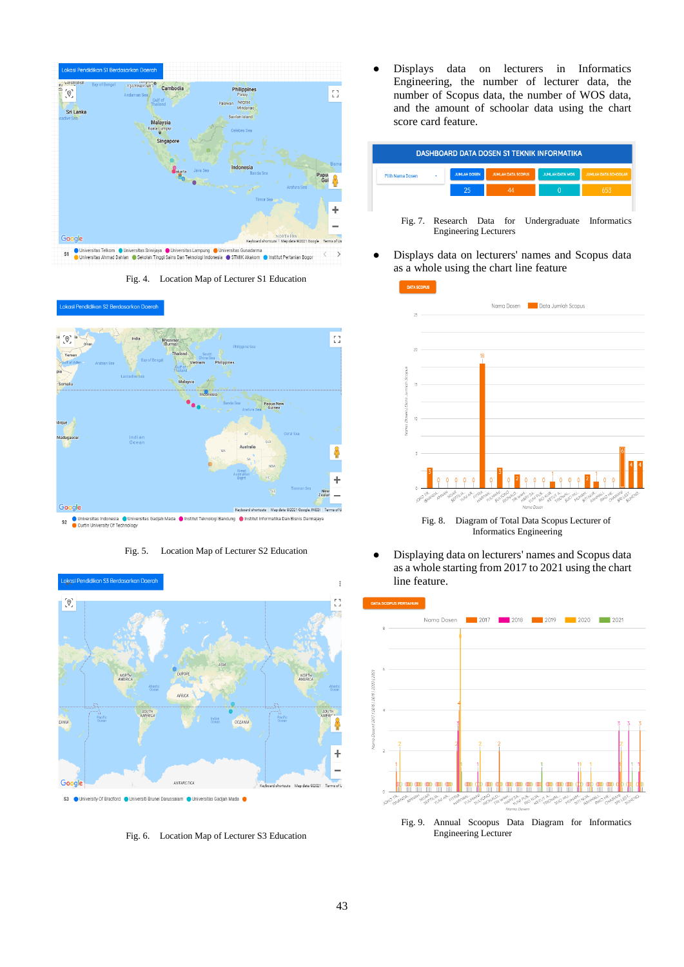

Fig. 4. Location Map of Lecturer S1 Education



Fig. 5. Location Map of Lecturer S2 Education



S3 | University Of Bradford | Universiti Brunei Darussalam | Universitas Gadjah Mada |

Fig. 6. Location Map of Lecturer S3 Education

Displays data on lecturers in Informatics Engineering, the number of lecturer data, the number of Scopus data, the number of WOS data, and the amount of schoolar data using the chart score card feature.

| <b>DASHBOARD DATA DOSEN S1 TEKNIK INFORMATIKA</b> |   |                              |                           |  |                        |                                                     |
|---------------------------------------------------|---|------------------------------|---------------------------|--|------------------------|-----------------------------------------------------|
| Pilih Nama Dosen                                  | ¥ | <b>JUMLAH DOSEN</b>          | <b>JUMLAH DATA SCOPUS</b> |  | <b>JUMLAH DATA WOS</b> | <b>JUMLAH DATA SCHOOLAR</b>                         |
|                                                   |   | 25                           | 44                        |  | O                      | 653                                                 |
|                                                   |   | <b>Engineering Lecturers</b> |                           |  |                        | Fig. 7. Research Data for Undergraduate Informatics |

Displays data on lecturers' names and Scopus data as a whole using the chart line feature



Fig. 8. Diagram of Total Data Scopus Lecturer of Informatics Engineering

● Displaying data on lecturers' names and Scopus data as a whole starting from 2017 to 2021 using the chart line feature.



Fig. 9. Annual Scoopus Data Diagram for Informatics Engineering Lecturer